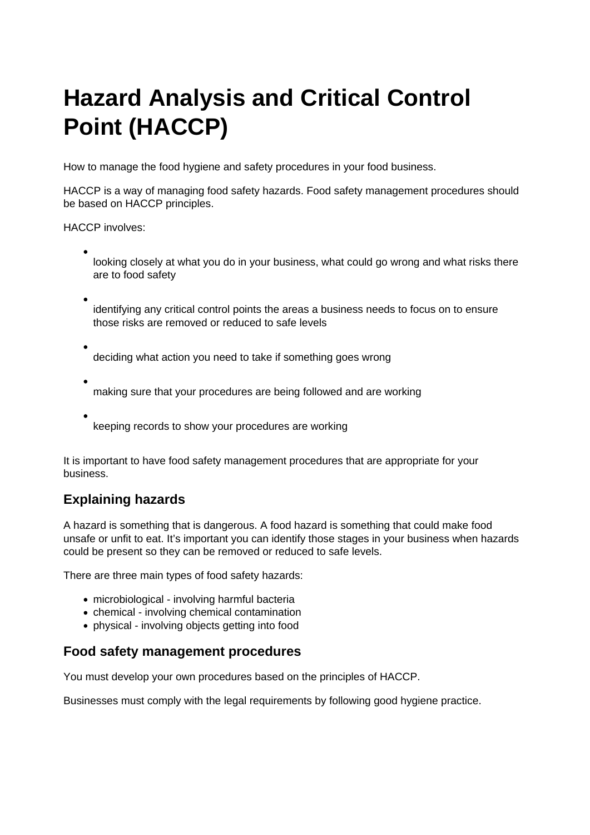# [Hazard Analysis and Critical Control](https://www.food.gov.uk/business-guidance/hazard-analysis-and-critical-control-point-haccp)  [Point \(HACCP\)](https://www.food.gov.uk/business-guidance/hazard-analysis-and-critical-control-point-haccp)

How to manage the food hygiene and safety procedures in your food business.

HACCP is a way of managing food safety hazards. Food safety management procedures should be based on HACCP principles.

HACCP involves:

- looking closely at what you do in your business, what could go wrong and what risks there are to food safety
- identifying any critical control points the areas a business needs to focus on to ensure those risks are removed or reduced to safe levels
- deciding what action you need to take if something goes wrong
- making sure that your procedures are being followed and are working
- keeping records to show your procedures are working

It is important to have food safety management procedures that are appropriate for your business.

## Explaining hazards

A hazard is something that is dangerous. A food hazard is something that could make food unsafe or unfit to eat. It's important you can identify those stages in your business when hazards could be present so they can be removed or reduced to safe levels.

There are three main types of food safety hazards:

- microbiological involving harmful bacteria
- chemical involving chemical contamination
- physical involving objects getting into food

#### Food safety management procedures

You must develop your own procedures based on the principles of HACCP.

Businesses must comply with the legal requirements by following good hygiene practice.